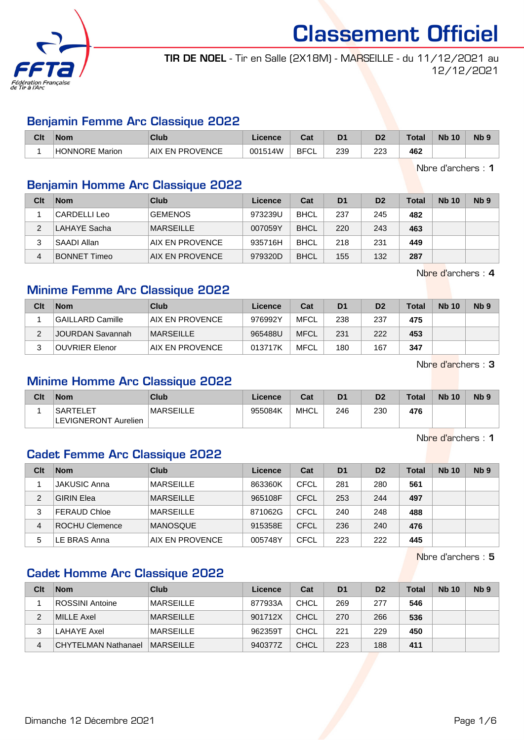

TIR DE NOEL - Tir en Salle (2X18M) - MARSEILLE - du 11/12/2021 au 12/12/2021

#### Benjamin Femme Arc Classique 2022

| Clt | Nom            | Club                   | Licence | ∩~∙<br>sal  | D <sub>1</sub> | D7<br>ש    | Total | <b>Nb</b><br>10 | N <sub>b</sub> <sub>9</sub> |
|-----|----------------|------------------------|---------|-------------|----------------|------------|-------|-----------------|-----------------------------|
|     | HONNORE Marion | <b>AIX EN PROVENCE</b> | 001514W | <b>BFCL</b> | 239            | מממ<br>ے ے | 462   |                 |                             |

Nbre d'archers : 1

#### Benjamin Homme Arc Classique 2022

| Clt | <b>Nom</b>          | Club             | Licence | Cat         | D <sub>1</sub> | D <sub>2</sub> | <b>Total</b> | <b>Nb 10</b> | Nb <sub>9</sub> |
|-----|---------------------|------------------|---------|-------------|----------------|----------------|--------------|--------------|-----------------|
|     | CARDELLI Leo        | <b>GEMENOS</b>   | 973239U | <b>BHCL</b> | 237            | 245            | 482          |              |                 |
| 2   | LAHAYE Sacha        | <b>MARSEILLE</b> | 007059Y | <b>BHCL</b> | 220            | 243            | 463          |              |                 |
| 3   | SAADI Allan         | AIX EN PROVENCE  | 935716H | <b>BHCL</b> | 218            | 231            | 449          |              |                 |
| 4   | <b>BONNET Timeo</b> | AIX EN PROVENCE  | 979320D | <b>BHCL</b> | 155            | 132            | 287          |              |                 |

Nbre d'archers : 4

## Minime Femme Arc Classique 2022

| Clt | <b>Nom</b>            | Club            | Licence | Cat         | D <sub>1</sub> | D <sub>2</sub> | Total | <b>Nb 10</b> | Nb <sub>9</sub> |
|-----|-----------------------|-----------------|---------|-------------|----------------|----------------|-------|--------------|-----------------|
|     | GAILLARD Camille      | AIX EN PROVENCE | 976992Y | <b>MFCL</b> | 238            | 237            | 475   |              |                 |
|     | JOURDAN Savannah      | MARSEILLE       | 965488U | <b>MFCL</b> | 231            | 222            | 453   |              |                 |
| ◠   | <b>OUVRIER Elenor</b> | AIX EN PROVENCE | 013717K | <b>MFCL</b> | 180            | 167            | 347   |              |                 |

Nbre d'archers : 3

#### Minime Homme Arc Classique 2022

| Clt | <b>Nom</b>                              | Club             | Licence | Cat  | D <sub>1</sub> | D <sub>2</sub> | <b>Total</b> | <b>Nb 10</b> | N <sub>b</sub> <sub>9</sub> |
|-----|-----------------------------------------|------------------|---------|------|----------------|----------------|--------------|--------------|-----------------------------|
|     | <b>SARTELET</b><br>LEVIGNERONT Aurelien | <b>MARSEILLE</b> | 955084K | MHCL | 246            | 230            | 476          |              |                             |

Nbre d'archers : 1

#### Cadet Femme Arc Classique 2022

| Clt | <b>Nom</b>            | Club             | Licence | Cat         | D <sub>1</sub> | D <sub>2</sub> | <b>Total</b> | <b>Nb 10</b> | N <sub>b</sub> <sub>9</sub> |
|-----|-----------------------|------------------|---------|-------------|----------------|----------------|--------------|--------------|-----------------------------|
|     | <b>JAKUSIC Anna</b>   | <b>MARSEILLE</b> | 863360K | CFCL        | 281            | 280            | 561          |              |                             |
| 2   | <b>GIRIN Elea</b>     | <b>MARSEILLE</b> | 965108F | <b>CFCL</b> | 253            | 244            | 497          |              |                             |
| 3   | <b>FERAUD Chloe</b>   | <b>MARSEILLE</b> | 871062G | CFCL        | 240            | 248            | 488          |              |                             |
| 4   | <b>ROCHU Clemence</b> | <b>MANOSQUE</b>  | 915358E | <b>CFCL</b> | 236            | 240            | 476          |              |                             |
| 5   | LE BRAS Anna          | AIX EN PROVENCE  | 005748Y | CFCL        | 223            | 222            | 445          |              |                             |

Nbre d'archers : 5

## Cadet Homme Arc Classique 2022

| Clt | <b>Nom</b>                 | <b>Club</b>      | Licence | Cat         | D <sub>1</sub> | D <sub>2</sub> | <b>Total</b> | <b>Nb 10</b> | N <sub>b</sub> <sub>9</sub> |
|-----|----------------------------|------------------|---------|-------------|----------------|----------------|--------------|--------------|-----------------------------|
|     | ROSSINI Antoine            | <b>MARSEILLE</b> | 877933A | <b>CHCL</b> | 269            | 277            | 546          |              |                             |
| 2   | MILLE Axel                 | <b>MARSEILLE</b> | 901712X | <b>CHCL</b> | 270            | 266            | 536          |              |                             |
| 3   | LAHAYE Axel                | <b>MARSEILLE</b> | 962359T | <b>CHCL</b> | 221            | 229            | 450          |              |                             |
| 4   | <b>CHYTELMAN Nathanael</b> | MARSEILLE        | 940377Z | <b>CHCL</b> | 223            | 188            | 411          |              |                             |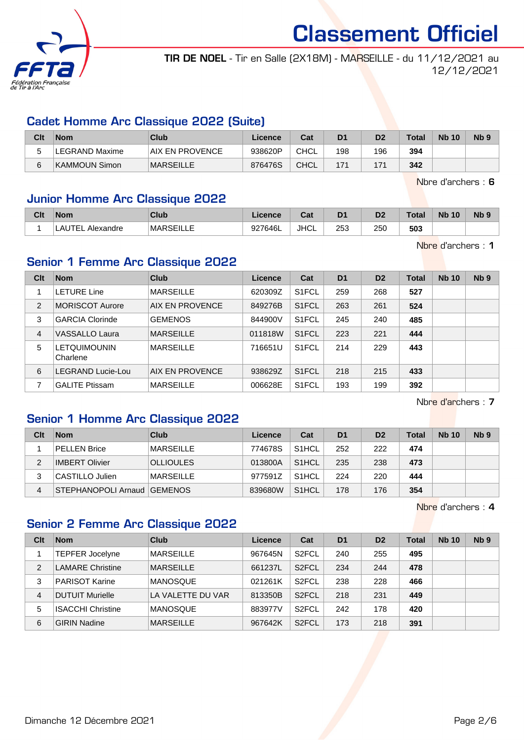

TIR DE NOEL - Tir en Salle (2X18M) - MARSEILLE - du 11/12/2021 au 12/12/2021

#### Cadet Homme Arc Classique 2022 (Suite)

| Clt | <b>Nom</b>     | Club             | Licence | Cat         | D <sub>1</sub> | D2  | <b>Total</b> | <b>Nb 10</b> | N <sub>b</sub> <sub>9</sub> |
|-----|----------------|------------------|---------|-------------|----------------|-----|--------------|--------------|-----------------------------|
|     | LEGRAND Maxime | IAIX EN PROVENCE | 938620P | <b>CHCL</b> | 198            | 196 | 394          |              |                             |
| 6   | ∣KAMMOUN Simon | <b>MARSEILLE</b> | 876476S | <b>CHCL</b> | 171            | 171 | 342          |              |                             |

Nbre d'archers : 6

#### Junior Homme Arc Classique 2022

| Clt | Nom                      | <b>Club</b>        | .icence | $R_{\rm{at}}$<br>ual | D <sub>1</sub> | D <sub>2</sub> | <b>Total</b> | <b>Nb</b><br>, 10 | <b>N<sub>b</sub></b> |
|-----|--------------------------|--------------------|---------|----------------------|----------------|----------------|--------------|-------------------|----------------------|
|     | TEL.<br>Alexandre<br>∟ຕບ | MARSEIL<br>NOLILLL | 927646L | <b>JHCL</b>          | 253            | 250            | 503          |                   |                      |

Nbre d'archers : 1

#### Senior 1 Femme Arc Classique 2022

| Clt | <b>Nom</b>                      | Club             | Licence | Cat                | D <sub>1</sub> | D <sub>2</sub> | <b>Total</b> | <b>Nb 10</b> | Nb <sub>9</sub> |
|-----|---------------------------------|------------------|---------|--------------------|----------------|----------------|--------------|--------------|-----------------|
|     | <b>LETURE Line</b>              | <b>MARSEILLE</b> | 620309Z | S <sub>1</sub> FCL | 259            | 268            | 527          |              |                 |
| 2   | <b>MORISCOT Aurore</b>          | AIX EN PROVENCE  | 849276B | S <sub>1</sub> FCL | 263            | 261            | 524          |              |                 |
| 3   | <b>GARCIA Clorinde</b>          | <b>GEMENOS</b>   | 844900V | S <sub>1</sub> FCL | 245            | 240            | 485          |              |                 |
| 4   | VASSALLO Laura                  | <b>MARSEILLE</b> | 011818W | S1FCL              | 223            | 221            | 444          |              |                 |
| 5   | <b>LETQUIMOUNIN</b><br>Charlene | <b>MARSEILLE</b> | 716651U | S <sub>1</sub> FCL | 214            | 229            | 443          |              |                 |
| 6   | LEGRAND Lucie-Lou               | AIX EN PROVENCE  | 938629Z | S <sub>1</sub> FCL | 218            | 215            | 433          |              |                 |
|     | <b>GALITE Ptissam</b>           | <b>MARSEILLE</b> | 006628E | S1FCL              | 193            | 199            | 392          |              |                 |

Nbre d'archers : 7

#### Senior 1 Homme Arc Classique 2022

| Clt | <b>Nom</b>                    | Club             | Licence | Cat                | D <sub>1</sub> | D <sub>2</sub> | <b>Total</b> | <b>Nb 10</b> | Nb <sub>9</sub> |
|-----|-------------------------------|------------------|---------|--------------------|----------------|----------------|--------------|--------------|-----------------|
|     | PELLEN Brice                  | <b>MARSEILLE</b> | 774678S | S <sub>1</sub> HCL | 252            | 222            | 474          |              |                 |
| 2   | <b>IMBERT Olivier</b>         | <b>OLLIOULES</b> | 013800A | S <sub>1</sub> HCL | 235            | 238            | 473          |              |                 |
|     | CASTILLO Julien               | <b>MARSEILLE</b> | 977591Z | S <sub>1</sub> HCL | 224            | 220            | 444          |              |                 |
| 4   | STEPHANOPOLI Arnaud   GEMENOS |                  | 839680W | S <sub>1</sub> HCL | 178            | 176            | 354          |              |                 |

Nbre d'archers : 4

#### Senior 2 Femme Arc Classique 2022

| Clt | <b>Nom</b>               | Club              | Licence | Cat                | D <sub>1</sub> | D <sub>2</sub> | Total | <b>Nb 10</b> | Nb <sub>9</sub> |
|-----|--------------------------|-------------------|---------|--------------------|----------------|----------------|-------|--------------|-----------------|
|     | <b>TEPFER Jocelyne</b>   | <b>MARSEILLE</b>  | 967645N | S <sub>2</sub> FCL | 240            | 255            | 495   |              |                 |
| 2   | <b>LAMARE Christine</b>  | <b>MARSEILLE</b>  | 661237L | S <sub>2</sub> FCL | 234            | 244            | 478   |              |                 |
| 3   | <b>PARISOT Karine</b>    | <b>MANOSQUE</b>   | 021261K | S <sub>2</sub> FCL | 238            | 228            | 466   |              |                 |
| 4   | <b>DUTUIT Murielle</b>   | LA VALETTE DU VAR | 813350B | S <sub>2</sub> FCL | 218            | 231            | 449   |              |                 |
| 5   | <b>ISACCHI Christine</b> | <b>MANOSQUE</b>   | 883977V | S <sub>2</sub> FCL | 242            | 178            | 420   |              |                 |
| 6   | <b>GIRIN Nadine</b>      | <b>MARSEILLE</b>  | 967642K | S <sub>2</sub> FCL | 173            | 218            | 391   |              |                 |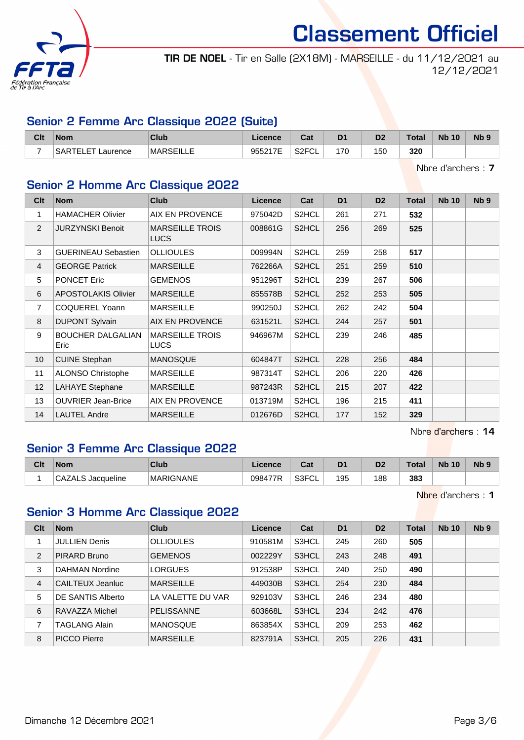

TIR DE NOEL - Tir en Salle (2X18M) - MARSEILLE - du 11/12/2021 au 12/12/2021

#### Senior 2 Femme Arc Classique 2022 (Suite)

| Clt | <b>Nom</b>                     | Club             | Licence | ີ່<br>⊍aι                | D <sub>1</sub> | D <sub>0</sub><br>ש | 'otal | <b>Nb 10</b> | N <sub>b</sub> <sub>9</sub> |
|-----|--------------------------------|------------------|---------|--------------------------|----------------|---------------------|-------|--------------|-----------------------------|
| -   | EТ<br><b>SARTE</b><br>Laurence | <b>MARSEILLE</b> | 955217E | S <sub>2</sub> FCI<br>◡∟ | 170            | 150                 | 320   |              |                             |

Nbre d'archers : 7

## Senior 2 Homme Arc Classique 2022

| Clt             | <b>Nom</b>                       | <b>Club</b>                           | <b>Licence</b> | Cat                | D <sub>1</sub> | D <sub>2</sub> | <b>Total</b> | <b>Nb 10</b> | N <sub>b</sub> <sub>9</sub> |
|-----------------|----------------------------------|---------------------------------------|----------------|--------------------|----------------|----------------|--------------|--------------|-----------------------------|
| 1               | <b>HAMACHER Olivier</b>          | AIX EN PROVENCE                       | 975042D        | S <sub>2</sub> HCL | 261            | 271            | 532          |              |                             |
| $\overline{2}$  | <b>JURZYNSKI Benoit</b>          | <b>MARSEILLE TROIS</b><br><b>LUCS</b> | 008861G        | S2HCL              | 256            | 269            | 525          |              |                             |
| 3               | <b>GUERINEAU Sebastien</b>       | <b>OLLIOULES</b>                      | 009994N        | S2HCL              | 259            | 258            | 517          |              |                             |
| 4               | <b>GEORGE Patrick</b>            | <b>MARSEILLE</b>                      | 762266A        | S2HCL              | 251            | 259            | 510          |              |                             |
| 5               | PONCET Eric                      | <b>GEMENOS</b>                        | 951296T        | S2HCL              | 239            | 267            | 506          |              |                             |
| 6               | <b>APOSTOLAKIS Olivier</b>       | <b>MARSEILLE</b>                      | 855578B        | S2HCL              | 252            | 253            | 505          |              |                             |
| $\overline{7}$  | COQUEREL Yoann                   | <b>MARSEILLE</b>                      | 990250J        | S2HCL              | 262            | 242            | 504          |              |                             |
| 8               | <b>DUPONT Sylvain</b>            | AIX EN PROVENCE                       | 631521L        | S2HCL              | 244            | 257            | 501          |              |                             |
| 9               | <b>BOUCHER DALGALIAN</b><br>Eric | <b>MARSEILLE TROIS</b><br><b>LUCS</b> | 946967M        | S2HCL              | 239            | 246            | 485          |              |                             |
| 10 <sup>°</sup> | <b>CUINE Stephan</b>             | <b>MANOSQUE</b>                       | 604847T        | S2HCL              | 228            | 256            | 484          |              |                             |
| 11              | ALONSO Christophe                | <b>MARSEILLE</b>                      | 987314T        | S2HCL              | 206            | 220            | 426          |              |                             |
| 12              | <b>LAHAYE Stephane</b>           | <b>MARSEILLE</b>                      | 987243R        | S2HCL              | 215            | 207            | 422          |              |                             |
| 13              | <b>OUVRIER Jean-Brice</b>        | AIX EN PROVENCE                       | 013719M        | S2HCL              | 196            | 215            | 411          |              |                             |
| 14              | <b>LAUTEL Andre</b>              | <b>MARSEILLE</b>                      | 012676D        | S2HCL              | 177            | 152            | 329          |              |                             |

Nbre d'archers : 14

### Senior 3 Femme Arc Classique 2022

| Clt | <b>Nom</b>            | <b>Club</b>      | <b>Licence</b> | ◠؞+<br>ual  |     | D <sub>7</sub> | Total | <b>Nb</b><br>10 | N <sub>b</sub> <sub>9</sub> |
|-----|-----------------------|------------------|----------------|-------------|-----|----------------|-------|-----------------|-----------------------------|
|     | Jacqueline<br>"UAZALS | <b>MARIGNANE</b> | 098477R        | S3FCI<br>◡∟ | 195 | 188            | 383   |                 |                             |

Nbre d'archers : 1

## Senior 3 Homme Arc Classique 2022

| Clt | <b>Nom</b>           | Club              | Licence | Cat   | D <sub>1</sub> | D <sub>2</sub> | Total | <b>Nb 10</b> | Nb <sub>9</sub> |
|-----|----------------------|-------------------|---------|-------|----------------|----------------|-------|--------------|-----------------|
|     | <b>JULLIEN Denis</b> | <b>OLLIOULES</b>  | 910581M | S3HCL | 245            | 260            | 505   |              |                 |
| 2   | PIRARD Bruno         | <b>GEMENOS</b>    | 002229Y | S3HCL | 243            | 248            | 491   |              |                 |
| 3   | DAHMAN Nordine       | <b>LORGUES</b>    | 912538P | S3HCL | 240            | 250            | 490   |              |                 |
| 4   | CAILTEUX Jeanluc     | <b>MARSEILLE</b>  | 449030B | S3HCL | 254            | 230            | 484   |              |                 |
| 5   | DE SANTIS Alberto    | LA VALETTE DU VAR | 929103V | S3HCL | 246            | 234            | 480   |              |                 |
| 6   | RAVAZZA Michel       | <b>PELISSANNE</b> | 603668L | S3HCL | 234            | 242            | 476   |              |                 |
| 7   | <b>TAGLANG Alain</b> | <b>MANOSQUE</b>   | 863854X | S3HCL | 209            | 253            | 462   |              |                 |
| 8   | <b>PICCO Pierre</b>  | <b>MARSEILLE</b>  | 823791A | S3HCL | 205            | 226            | 431   |              |                 |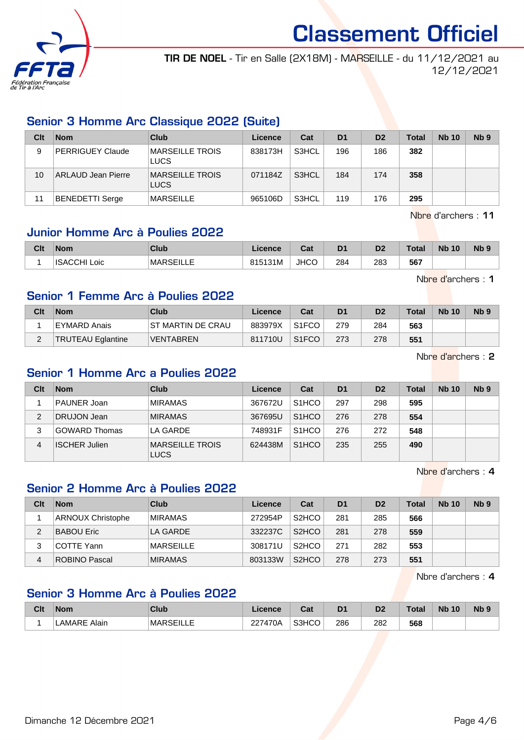

TIR DE NOEL - Tir en Salle (2X18M) - MARSEILLE - du 11/12/2021 au 12/12/2021

### Senior 3 Homme Arc Classique 2022 (Suite)

| Clt | <b>Nom</b>                | Club                           | Licence | Cat   | D <sub>1</sub> | D <sub>2</sub> | <b>Total</b> | <b>Nb 10</b> | Nb <sub>9</sub> |
|-----|---------------------------|--------------------------------|---------|-------|----------------|----------------|--------------|--------------|-----------------|
| 9   | <b>PERRIGUEY Claude</b>   | <b>MARSEILLE TROIS</b><br>LUCS | 838173H | S3HCL | 196            | 186            | 382          |              |                 |
| 10  | <b>ARLAUD Jean Pierre</b> | MARSEILLE TROIS<br>LUCS        | 071184Z | S3HCL | 184            | 174            | 358          |              |                 |
| 11  | <b>BENEDETTI Serge</b>    | <b>MARSEILLE</b>               | 965106D | S3HCL | 119            | 176            | 295          |              |                 |

Nbre d'archers : 11

### Junior Homme Arc à Poulies 2022

| Clt | <b>Nom</b>             | Club              | <b>Licence</b> | ่ ี่ ี่ ่า ่<br>⊍aι | D <sub>1</sub> | D <sub>2</sub><br>ש | Total | <b>N<sub>b</sub></b><br>10 | N <sub>b</sub> <sub>9</sub> |
|-----|------------------------|-------------------|----------------|---------------------|----------------|---------------------|-------|----------------------------|-----------------------------|
|     | <b>ISACCHI</b><br>∟oic | <b>IMARSEILLE</b> | 815131M        | <b>JHCO</b>         | 284            | 283                 | 567   |                            |                             |

Nbre d'archers : 1

#### Senior 1 Femme Arc à Poulies 2022

| Clt | <b>Nom</b>               | Club               | Licence | Cat                | D <sub>1</sub> | D <sub>2</sub> | Total | <b>Nb 10</b> | N <sub>b</sub> <sub>9</sub> |
|-----|--------------------------|--------------------|---------|--------------------|----------------|----------------|-------|--------------|-----------------------------|
|     | EYMARD Anais             | IST MARTIN DE CRAU | 883979X | S <sub>1</sub> FCO | 279            | 284            | 563   |              |                             |
|     | <b>TRUTEAU Eglantine</b> | <b>VENTABREN</b>   | 811710U | S <sub>1</sub> FCO | 273            | 278            | 551   |              |                             |

Nbre d'archers : 2

#### Senior 1 Homme Arc a Poulies 2022

| Clt | <b>Nom</b>           | Club                           | Licence | Cat                | D <sub>1</sub> | D <sub>2</sub> | Total | <b>Nb 10</b> | N <sub>b</sub> <sub>9</sub> |
|-----|----------------------|--------------------------------|---------|--------------------|----------------|----------------|-------|--------------|-----------------------------|
|     | <b>PAUNER Joan</b>   | <b>MIRAMAS</b>                 | 367672U | S <sub>1</sub> HCO | 297            | 298            | 595   |              |                             |
| 2   | <b>DRUJON Jean</b>   | <b>MIRAMAS</b>                 | 367695U | S <sub>1</sub> HCO | 276            | 278            | 554   |              |                             |
| 3   | <b>GOWARD Thomas</b> | LA GARDE                       | 748931F | S <sub>1</sub> HCO | 276            | 272            | 548   |              |                             |
| 4   | <b>ISCHER Julien</b> | MARSEILLE TROIS<br><b>LUCS</b> | 624438M | S <sub>1</sub> HCO | 235            | 255            | 490   |              |                             |

Nbre d'archers : 4

## Senior 2 Homme Arc à Poulies 2022

| Clt | <b>Nom</b>               | Club             | Licence | Cat                | D <sub>1</sub> | D <sub>2</sub> | Total | <b>Nb 10</b> | Nb <sub>9</sub> |
|-----|--------------------------|------------------|---------|--------------------|----------------|----------------|-------|--------------|-----------------|
|     | <b>ARNOUX Christophe</b> | <b>MIRAMAS</b>   | 272954P | S <sub>2</sub> HCO | 281            | 285            | 566   |              |                 |
| 2   | <b>BABOU Eric</b>        | LA GARDE         | 332237C | S <sub>2</sub> HCO | 281            | 278            | 559   |              |                 |
|     | COTTE Yann               | <b>MARSEILLE</b> | 308171U | S <sub>2</sub> HCO | 271            | 282            | 553   |              |                 |
| 4   | <b>ROBINO Pascal</b>     | <b>MIRAMAS</b>   | 803133W | S <sub>2</sub> HCO | 278            | 273            | 551   |              |                 |

Nbre d'archers : 4

## Senior 3 Homme Arc à Poulies 2022

| Clt | <b>Nom</b>      | Club                 | icence<br>- 10 | ⊶ ∼<br>uai | D <sub>1</sub> | D <sub>2</sub> | <b>Total</b> | <b>Nb</b><br>10 | <b>Nb</b> |
|-----|-----------------|----------------------|----------------|------------|----------------|----------------|--------------|-----------------|-----------|
|     | Alain<br>LAMARF | <b>MAR</b><br>′∕ ⊢ ⊓ | 227470A        | S3HCO      | 286<br>- -     | 282<br>$-$     | 568          |                 |           |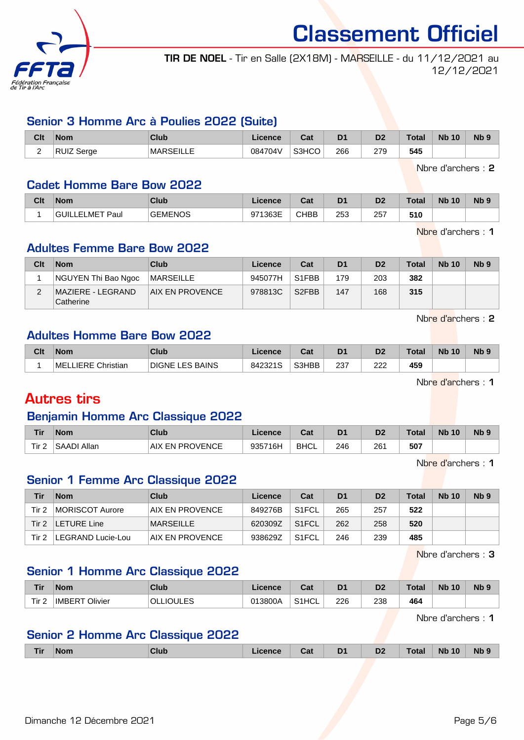

TIR DE NOEL - Tir en Salle (2X18M) - MARSEILLE - du 11/12/2021 au 12/12/2021

#### Senior 3 Homme Arc à Poulies 2022 (Suite)

| Clt | <b>Nom</b>                               | Club              | ∟icence | $R_{\rm{eff}}$<br>⊍d | D1  | D2           | Total <sub>z</sub> | <b>N<sub>b</sub></b><br>10 | N <sub>b</sub> <sub>9</sub> |
|-----|------------------------------------------|-------------------|---------|----------------------|-----|--------------|--------------------|----------------------------|-----------------------------|
| ∽   | $\cdots$ $\sim$<br>ים .<br>Serge<br>KUIZ | <b>IMARSEILLE</b> | 084704V | S3HCO                | 266 | חדר<br>ت ا ے | 545                |                            |                             |

Nbre d'archers : 2

#### Cadet Homme Bare Bow 2022

| Clt | <b>Nom</b>           | Club           | icence  | ⊶ ∼<br>saı  | D <sub>1</sub> | n0  | Total | <b>Nb 10</b> | N <sub>b</sub> <sub>9</sub> |
|-----|----------------------|----------------|---------|-------------|----------------|-----|-------|--------------|-----------------------------|
|     | LELMET Paul<br>GUILL | <b>GEMENOS</b> | 971363E | <b>CHBB</b> | 253            | 257 | 510   |              |                             |

Nbre d'archers : 1

#### Adultes Femme Bare Bow 2022

| Clt | <b>Nom</b>                       | Club                   | Licence | Cat                | D <sub>1</sub> | D <sub>2</sub> | <b>Total</b> | <b>Nb 10</b> | Nb <sub>9</sub> |
|-----|----------------------------------|------------------------|---------|--------------------|----------------|----------------|--------------|--------------|-----------------|
|     | NGUYEN Thi Bao Ngoc              | <b>IMARSEILLE</b>      | 945077H | S <sub>1</sub> FBB | 179            | 203            | 382          |              |                 |
|     | MAZIERE - LEGRAND  <br>Catherine | <b>AIX EN PROVENCE</b> | 978813C | S <sub>2</sub> FBB | 147            | 168            | 315          |              |                 |

Nbre d'archers : 2

#### Adultes Homme Bare Bow 2022

| Clt | <b>Nom</b>                      | Club                         | icence  | ⊶ ∼<br>ua | D <sub>1</sub> | D <sub>2</sub> | Total | <b>N<sub>b</sub></b><br>10 | <b>Nb</b> |
|-----|---------------------------------|------------------------------|---------|-----------|----------------|----------------|-------|----------------------------|-----------|
|     | MEL<br>Christian<br><b>IFRE</b> | BAINS<br><b>DIGNE</b><br>ES. | 842321S | S3HBB     | 237            | רממ<br>222     | 459   |                            |           |

Nbre d'archers : 1

## Autres tirs

#### Benjamin Homme Arc Classique 2022

| <b>Tir</b> | <b>Nom</b>  | Club                      | <b>licence</b> | ີ່<br>⊍a    | D <sub>1</sub> | D <sub>2</sub> | Total | <b>N<sub>b</sub></b><br>10 | <b>N<sub>b</sub></b> |
|------------|-------------|---------------------------|----------------|-------------|----------------|----------------|-------|----------------------------|----------------------|
| Tir.<br>-  | SAADI Allan | <b>EN PROVENCE</b><br>AIX | 935716H        | <b>BHCL</b> | 246            | 261            | 507   |                            |                      |

Nbre d'archers : 1

## Senior 1 Femme Arc Classique 2022

| Tir   | <b>Nom</b>        | Club             | Licence | Cat                | D <sub>1</sub> | D <sub>2</sub> | <b>Total</b> | <b>Nb 10</b> | N <sub>b</sub> 9 |
|-------|-------------------|------------------|---------|--------------------|----------------|----------------|--------------|--------------|------------------|
| Tir 2 | MORISCOT Aurore   | AIX EN PROVENCE  | 849276B | S <sub>1</sub> FCL | 265            | 257            | 522          |              |                  |
| Tir 2 | LETURE Line       | <b>MARSEILLE</b> | 620309Z | S <sub>1</sub> FCL | 262            | 258            | 520          |              |                  |
| Tir 2 | LEGRAND Lucie-Lou | AIX EN PROVENCE  | 938629Z | S <sub>1</sub> FCL | 246            | 239            | 485          |              |                  |

Nbre d'archers : 3

#### Senior 1 Homme Arc Classique 2022

| <b>Tir</b>       | <b>Nom</b>               | Club             | Licence | ◠ឹ៶<br>val         | D1  | D2  | $\tau$ otal | <b>N<sub>b</sub></b><br>10 | N <sub>b</sub> <sub>9</sub> |
|------------------|--------------------------|------------------|---------|--------------------|-----|-----|-------------|----------------------------|-----------------------------|
| Tir <sub>2</sub> | Olivier<br><b>IMBERT</b> | <b>OLLIOULES</b> | 013800A | S <sub>1</sub> HCL | 226 | 238 | 464         |                            |                             |

Nbre d'archers : 1

#### Senior 2 Homme Arc Classique 2022

|  | Гir | <b>Nom</b> | CluL | <i>cence</i> | Cat | <b>The State</b><br>יי<br>- - | $\mathbf{A}$<br><u>DZ</u> | Tota. | <b>Nb</b><br>10 | <b>Nb</b> |
|--|-----|------------|------|--------------|-----|-------------------------------|---------------------------|-------|-----------------|-----------|
|--|-----|------------|------|--------------|-----|-------------------------------|---------------------------|-------|-----------------|-----------|